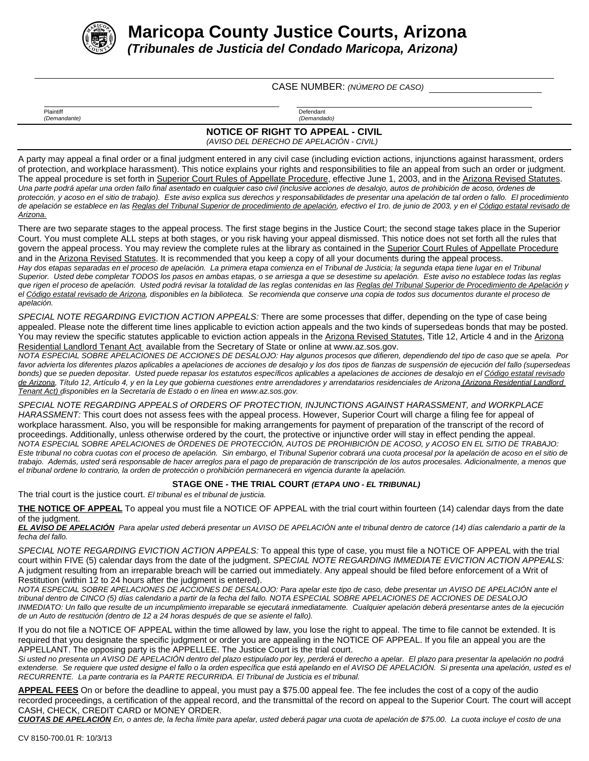

**Maricopa County Justice Courts, Arizona**

*(Tribunales de Justicia del Condado Maricopa, Arizona)*

CASE NUMBER: *(NÚMERO DE CASO)*

Plaintiff **Defendant** *(Demandante) (Demandado)*

**NOTICE OF RIGHT TO APPEAL - CIVIL**

*(AVISO DEL DERECHO DE APELACIÓN - CIVIL)*

A party may appeal a final order or a final judgment entered in any civil case (including eviction actions, injunctions against harassment, orders of protection, and workplace harassment). This notice explains your rights and responsibilities to file an appeal from such an order or judgment. The appeal procedure is set forth in Superior Court Rules of Appellate Procedure, effective June 1, 2003, and in the Arizona Revised Statutes. *Una parte podrá apelar una orden fallo final asentado en cualquier caso civil (inclusive acciones de desalojo, autos de prohibición de acoso, órdenes de protección, y acoso en el sitio de trabajo). Este aviso explica sus derechos y responsabilidades de presentar una apelación de tal orden o fallo. El procedimiento de apelación se establece en las Reglas del Tribunal Superior de procedimiento de apelación, efectivo el 1ro. de junio de 2003, y en el Código estatal revisado de Arizona.*

There are two separate stages to the appeal process. The first stage begins in the Justice Court; the second stage takes place in the Superior Court. You must complete ALL steps at both stages, or you risk having your appeal dismissed. This notice does not set forth all the rules that govern the appeal process. You may review the complete rules at the library as contained in the Superior Court Rules of Appellate Procedure and in the Arizona Revised Statutes. It is recommended that you keep a copy of all your documents during the appeal process. *Hay dos etapas separadas en el proceso de apelación. La primera etapa comienza en el Tribunal de Justicia; la segunda etapa tiene lugar en el Tribunal Superior. Usted debe completar TODOS los pasos en ambas etapas, o se arriesga a que se desestime su apelación. Este aviso no establece todas las reglas que rigen el proceso de apelación. Usted podrá revisar la totalidad de las reglas contenidas en las Reglas del Tribunal Superior de Procedimiento de Apelación y*

*el Código estatal revisado de Arizona, disponibles en la biblioteca. Se recomienda que conserve una copia de todos sus documentos durante el proceso de apelación.*

*SPECIAL NOTE REGARDING EVICTION ACTION APPEALS:* There are some processes that differ, depending on the type of case being appealed. Please note the different time lines applicable to eviction action appeals and the two kinds of supersedeas bonds that may be posted. You may review the specific statutes applicable to eviction action appeals in the Arizona Revised Statutes, Title 12, Article 4 and in the Arizona Residential Landlord Tenant Act available from the Secretary of State or online at www.az.sos.gov.

*NOTA ESPECIAL SOBRE APELACIONES DE ACCIONES DE DESALOJO: Hay algunos procesos que difieren, dependiendo del tipo de caso que se apela. Por favor advierta los diferentes plazos aplicables a apelaciones de acciones de desalojo y los dos tipos de fianzas de suspensión de ejecución del fallo (supersedeas bonds) que se pueden depositar. Usted puede repasar los estatutos específicos aplicables a apelaciones de acciones de desalojo en el Código estatal revisado de Arizona, Título 12, Artículo 4, y en la Ley que gobierna cuestiones entre arrendadores y arrendatarios residenciales de Arizona (Arizona Residential Landlord Tenant Act) disponibles en la Secretaría de Estado o en línea en www.az.sos.gov.*

*SPECIAL NOTE REGARDING APPEALS of ORDERS OF PROTECTION, INJUNCTIONS AGAINST HARASSMENT, and WORKPLACE HARASSMENT:* This court does not assess fees with the appeal process. However, Superior Court will charge a filing fee for appeal of workplace harassment. Also, you will be responsible for making arrangements for payment of preparation of the transcript of the record of proceedings. Additionally, unless otherwise ordered by the court, the protective or injunctive order will stay in effect pending the appeal. *NOTA ESPECIAL SOBRE APELACIONES de ÓRDENES DE PROTECCIÓN, AUTOS DE PROHIBICIÓN DE ACOSO, y ACOSO EN EL SITIO DE TRABAJO: Este tribunal no cobra cuotas con el proceso de apelación. Sin embargo, el Tribunal Superior cobrará una cuota procesal por la apelación de acoso en el sitio de trabajo. Además, usted será responsable de hacer arreglos para el pago de preparación de transcripción de los autos procesales. Adicionalmente, a menos que el tribunal ordene lo contrario, la orden de protección o prohibición permanecerá en vigencia durante la apelación.*

## **STAGE ONE - THE TRIAL COURT** *(ETAPA UNO - EL TRIBUNAL)*

The trial court is the justice court. *El tribunal es el tribunal de justicia.*

**THE NOTICE OF APPEAL** To appeal you must file a NOTICE OF APPEAL with the trial court within fourteen (14) calendar days from the date of the judgment.

*EL AVISO DE APELACIÓN Para apelar usted deberá presentar un AVISO DE APELACIÓN ante el tribunal dentro de catorce (14) días calendario a partir de la fecha del fallo.*

*SPECIAL NOTE REGARDING EVICTION ACTION APPEALS:* To appeal this type of case, you must file a NOTICE OF APPEAL with the trial court within FIVE (5) calendar days from the date of the judgment. *SPECIAL NOTE REGARDING IMMEDIATE EVICTION ACTION APPEALS:* A judgment resulting from an irreparable breach will be carried out immediately. Any appeal should be filed before enforcement of a Writ of Restitution (within 12 to 24 hours after the judgment is entered).

*NOTA ESPECIAL SOBRE APELACIONES DE ACCIONES DE DESALOJO: Para apelar este tipo de caso, debe presentar un AVISO DE APELACIÓN ante el tribunal dentro de CINCO (5) días calendario a partir de la fecha del fallo. NOTA ESPECIAL SOBRE APELACIONES DE ACCIONES DE DESALOJO INMEDIATO: Un fallo que resulte de un incumplimiento irreparable se ejecutará inmediatamente. Cualquier apelación deberá presentarse antes de la ejecución de un Auto de restitución (dentro de 12 a 24 horas después de que se asiente el fallo).*

If you do not file a NOTICE OF APPEAL within the time allowed by law, you lose the right to appeal. The time to file cannot be extended. It is required that you designate the specific judgment or order you are appealing in the NOTICE OF APPEAL. If you file an appeal you are the APPELLANT. The opposing party is the APPELLEE. The Justice Court is the trial court.

*Si usted no presenta un AVISO DE APELACIÓN dentro del plazo estipulado por ley, perderá el derecho a apelar. El plazo para presentar la apelación no podrá extenderse. Se requiere que usted designe el fallo o la orden específica que está apelando en el AVISO DE APELACIÓN. Si presenta una apelación, usted es el RECURRENTE. La parte contraria es la PARTE RECURRIDA. El Tribunal de Justicia es el tribunal.*

**APPEAL FEES** On or before the deadline to appeal, you must pay a \$75.00 appeal fee. The fee includes the cost of a copy of the audio recorded proceedings, a certification of the appeal record, and the transmittal of the record on appeal to the Superior Court. The court will accept CASH, CHECK, CREDIT CARD or MONEY ORDER.

*CUOTAS DE APELACIÓN En, o antes de, la fecha límite para apelar, usted deberá pagar una cuota de apelación de \$75.00. La cuota incluye el costo de una*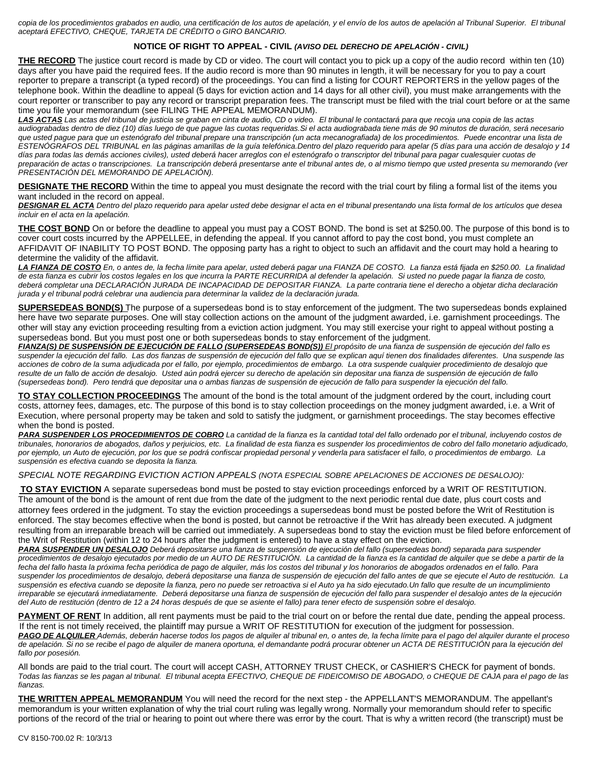*copia de los procedimientos grabados en audio, una certificación de los autos de apelación, y el envío de los autos de apelación al Tribunal Superior. El tribunal aceptará EFECTIVO, CHEQUE, TARJETA DE CRÉDITO o GIRO BANCARIO.* 

## **NOTICE OF RIGHT TO APPEAL - CIVIL** *(AVISO DEL DERECHO DE APELACIÓN - CIVIL)*

**THE RECORD** The justice court record is made by CD or video. The court will contact you to pick up a copy of the audio record within ten (10) days after you have paid the required fees. If the audio record is more than 90 minutes in length, it will be necessary for you to pay a court reporter to prepare a transcript (a typed record) of the proceedings. You can find a listing for COURT REPORTERS in the yellow pages of the telephone book. Within the deadline to appeal (5 days for eviction action and 14 days for all other civil), you must make arrangements with the court reporter or transcriber to pay any record or transcript preparation fees. The transcript must be filed with the trial court before or at the same time you file your memorandum (see FILING THE APPEAL MEMORANDUM).

*LAS ACTAS Las actas del tribunal de justicia se graban en cinta de audio, CD o video. El tribunal le contactará para que recoja una copia de las actas audiograbadas dentro de diez (10) días luego de que pague las cuotas requeridas.Si el acta audiograbada tiene más de 90 minutos de duración, será necesario que usted pague para que un estenógrafo del tribunal prepare una transcripción (un acta mecanografiada) de los procedimientos. Puede encontrar una lista de ESTENÓGRAFOS DEL TRIBUNAL en las páginas amarillas de la guía telefónica.Dentro del plazo requerido para apelar (5 días para una acción de desalojo y 14 días para todas las demás acciones civiles), usted deberá hacer arreglos con el estenógrafo o transcriptor del tribunal para pagar cualesquier cuotas de preparación de actas o transcripciones. La transcripción deberá presentarse ante el tribunal antes de, o al mismo tiempo que usted presenta su memorando (ver PRESENTACIÓN DEL MEMORANDO DE APELACIÓN).*

**DESIGNATE THE RECORD** Within the time to appeal you must designate the record with the trial court by filing a formal list of the items you want included in the record on appeal.

*DESIGNAR EL ACTA Dentro del plazo requerido para apelar usted debe designar el acta en el tribunal presentando una lista formal de los artículos que desea incluir en el acta en la apelación.*

**THE COST BOND** On or before the deadline to appeal you must pay a COST BOND. The bond is set at \$250.00. The purpose of this bond is to cover court costs incurred by the APPELLEE, in defending the appeal. If you cannot afford to pay the cost bond, you must complete an AFFIDAVIT OF INABILITY TO POST BOND. The opposing party has a right to object to such an affidavit and the court may hold a hearing to determine the validity of the affidavit.

*LA FIANZA DE COSTO En, o antes de, la fecha límite para apelar, usted deberá pagar una FIANZA DE COSTO. La fianza está fijada en \$250.00. La finalidad de esta fianza es cubrir los costos legales en los que incurra la PARTE RECURRIDA al defender la apelación. Si usted no puede pagar la fianza de costo, deberá completar una DECLARACIÓN JURADA DE INCAPACIDAD DE DEPOSITAR FIANZA. La parte contraria tiene el derecho a objetar dicha declaración jurada y el tribunal podrá celebrar una audiencia para determinar la validez de la declaración jurada.*

**SUPERSEDEAS BOND(S)** The purpose of a supersedeas bond is to stay enforcement of the judgment. The two supersedeas bonds explained here have two separate purposes. One will stay collection actions on the amount of the judgment awarded, i.e. garnishment proceedings. The other will stay any eviction proceeding resulting from a eviction action judgment. You may still exercise your right to appeal without posting a supersedeas bond. But you must post one or both supersedeas bonds to stay enforcement of the judgment.

*FIANZA(S) DE SUSPENSIÓN DE EJECUCIÓN DE FALLO (SUPERSEDEAS BOND(S)) El propósito de una fianza de suspensión de ejecución del fallo es suspender la ejecución del fallo. Las dos fianzas de suspensión de ejecución del fallo que se explican aquí tienen dos finalidades diferentes. Una suspende las acciones de cobro de la suma adjudicada por el fallo, por ejemplo, procedimientos de embargo. La otra suspende cualquier procedimiento de desalojo que resulte de un fallo de acción de desalojo. Usted aún podrá ejercer su derecho de apelación sin depositar una fianza de suspensión de ejecución de fallo (supersedeas bond). Pero tendrá que depositar una o ambas fianzas de suspensión de ejecución de fallo para suspender la ejecución del fallo.*

**TO STAY COLLECTION PROCEEDINGS** The amount of the bond is the total amount of the judgment ordered by the court, including court costs, attorney fees, damages, etc. The purpose of this bond is to stay collection proceedings on the money judgment awarded, i.e. a Writ of Execution, where personal property may be taken and sold to satisfy the judgment, or garnishment proceedings. The stay becomes effective when the bond is posted.

*PARA SUSPENDER LOS PROCEDIMIENTOS DE COBRO La cantidad de la fianza es la cantidad total del fallo ordenado por el tribunal, incluyendo costos de tribunales, honorarios de abogados, daños y perjuicios, etc. La finalidad de esta fianza es suspender los procedimientos de cobro del fallo monetario adjudicado, por ejemplo, un Auto de ejecución, por los que se podrá confiscar propiedad personal y venderla para satisfacer el fallo, o procedimientos de embargo. La suspensión es efectiva cuando se deposita la fianza.*

## *SPECIAL NOTE REGARDING EVICTION ACTION APPEALS (NOTA ESPECIAL SOBRE APELACIONES DE ACCIONES DE DESALOJO):*

**TO STAY EVICTION** A separate supersedeas bond must be posted to stay eviction proceedings enforced by a WRIT OF RESTITUTION. The amount of the bond is the amount of rent due from the date of the judgment to the next periodic rental due date, plus court costs and attorney fees ordered in the judgment. To stay the eviction proceedings a supersedeas bond must be posted before the Writ of Restitution is enforced. The stay becomes effective when the bond is posted, but cannot be retroactive if the Writ has already been executed. A judgment resulting from an irreparable breach will be carried out immediately. A supersedeas bond to stay the eviction must be filed before enforcement of the Writ of Restitution (within 12 to 24 hours after the judgment is entered) to have a stay effect on the eviction.

*PARA SUSPENDER UN DESALOJO Deberá depositarse una fianza de suspensión de ejecución del fallo (supersedeas bond) separada para suspender procedimientos de desalojo ejecutados por medio de un AUTO DE RESTITUCIÓN. La cantidad de la fianza es la cantidad de alquiler que se debe a partir de la fecha del fallo hasta la próxima fecha periódica de pago de alquiler, más los costos del tribunal y los honorarios de abogados ordenados en el fallo. Para suspender los procedimientos de desalojo, deberá depositarse una fianza de suspensión de ejecución del fallo antes de que se ejecute el Auto de restitución. La suspensión es efectiva cuando se deposite la fianza, pero no puede ser retroactiva si el Auto ya ha sido ejecutado.Un fallo que resulte de un incumplimiento irreparable se ejecutará inmediatamente. Deberá depositarse una fianza de suspensión de ejecución del fallo para suspender el desalojo antes de la ejecución del Auto de restitución (dentro de 12 a 24 horas después de que se asiente el fallo) para tener efecto de suspensión sobre el desalojo.*

**PAYMENT OF RENT** In addition, all rent payments must be paid to the trial court on or before the rental due date, pending the appeal process. If the rent is not timely received, the plaintiff may pursue a WRIT OF RESTITUTION for execution of the judgment for possession. *PAGO DE ALQUILER Además, deberán hacerse todos los pagos de alquiler al tribunal en, o antes de, la fecha límite para el pago del alquiler durante el proceso de apelación. Si no se recibe el pago de alquiler de manera oportuna, el demandante podrá procurar obtener un ACTA DE RESTITUCIÓN para la ejecución del fallo por posesión.*

All bonds are paid to the trial court. The court will accept CASH, ATTORNEY TRUST CHECK, or CASHIER'S CHECK for payment of bonds. *Todas las fianzas se les pagan al tribunal. El tribunal acepta EFECTIVO, CHEQUE DE FIDEICOMISO DE ABOGADO, o CHEQUE DE CAJA para el pago de las fianzas.*

**THE WRITTEN APPEAL MEMORANDUM** You will need the record for the next step - the APPELLANT'S MEMORANDUM. The appellant's memorandum is your written explanation of why the trial court ruling was legally wrong. Normally your memorandum should refer to specific portions of the record of the trial or hearing to point out where there was error by the court. That is why a written record (the transcript) must be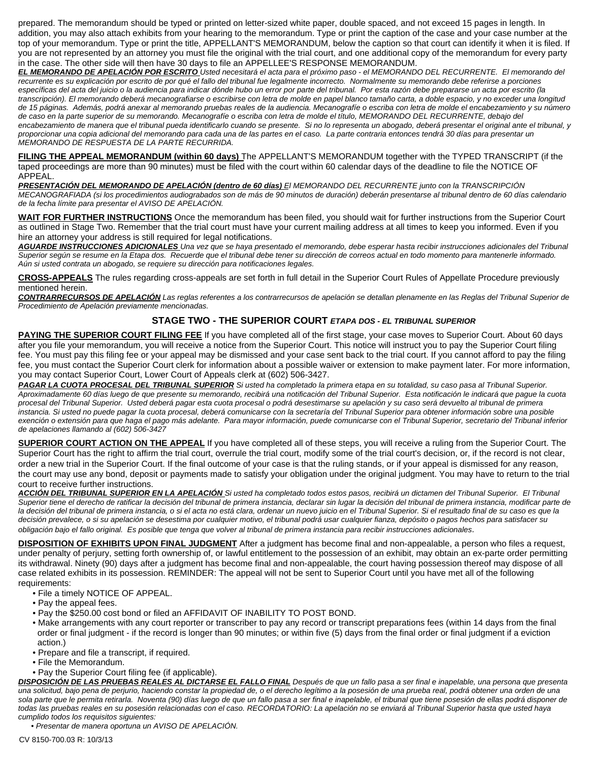prepared. The memorandum should be typed or printed on letter-sized white paper, double spaced, and not exceed 15 pages in length. In addition, you may also attach exhibits from your hearing to the memorandum. Type or print the caption of the case and your case number at the top of your memorandum. Type or print the title, APPELLANT'S MEMORANDUM, below the caption so that court can identify it when it is filed. If you are not represented by an attorney you must file the original with the trial court, and one additional copy of the memorandum for every party in the case. The other side will then have 30 days to file an APPELLEE'S RESPONSE MEMORANDUM.

*EL MEMORANDO DE APELACIÓN POR ESCRITO Usted necesitará el acta para el próximo paso - el MEMORANDO DEL RECURRENTE. El memorando del recurrente es su explicación por escrito de por qué el fallo del tribunal fue legalmente incorrecto. Normalmente su memorando debe referirse a porciones específicas del acta del juicio o la audiencia para indicar dónde hubo un error por parte del tribunal. Por esta razón debe prepararse un acta por escrito (la transcripción). El memorando deberá mecanografiarse o escribirse con letra de molde en papel blanco tamaño carta, a doble espacio, y no exceder una longitud de 15 páginas. Además, podrá anexar al memorando pruebas reales de la audiencia. Mecanografíe o escriba con letra de molde el encabezamiento y su número de caso en la parte superior de su memorando. Mecanografíe o escriba con letra de molde el título, MEMORANDO DEL RECURRENTE, debajo del encabezamiento de manera que el tribunal pueda identificarlo cuando se presente. Si no lo representa un abogado, deberá presentar el original ante el tribunal, y proporcionar una copia adicional del memorando para cada una de las partes en el caso. La parte contraria entonces tendrá 30 días para presentar un MEMORANDO DE RESPUESTA DE LA PARTE RECURRIDA.*

**FILING THE APPEAL MEMORANDUM (within 60 days)** The APPELLANT'S MEMORANDUM together with the TYPED TRANSCRIPT (if the taped proceedings are more than 90 minutes) must be filed with the court within 60 calendar days of the deadline to file the NOTICE OF APPEAL.

*PRESENTACIÓN DEL MEMORANDO DE APELACIÓN (dentro de 60 días) El MEMORANDO DEL RECURRENTE junto con la TRANSCRIPCIÓN MECANOGRAFIADA (si los procedimientos audiograbados son de más de 90 minutos de duración) deberán presentarse al tribunal dentro de 60 días calendario de la fecha límite para presentar el AVISO DE APELACIÓN.*

**WAIT FOR FURTHER INSTRUCTIONS** Once the memorandum has been filed, you should wait for further instructions from the Superior Court as outlined in Stage Two. Remember that the trial court must have your current mailing address at all times to keep you informed. Even if you hire an attorney your address is still required for legal notifications.

*AGUARDE INSTRUCCIONES ADICIONALES Una vez que se haya presentado el memorando, debe esperar hasta recibir instrucciones adicionales del Tribunal Superior según se resume en la Etapa dos. Recuerde que el tribunal debe tener su dirección de correos actual en todo momento para mantenerle informado. Aún si usted contrata un abogado, se requiere su dirección para notificaciones legales.*

**CROSS-APPEALS** The rules regarding cross-appeals are set forth in full detail in the Superior Court Rules of Appellate Procedure previously mentioned herein.

*CONTRARRECURSOS DE APELACIÓN Las reglas referentes a los contrarrecursos de apelación se detallan plenamente en las Reglas del Tribunal Superior de Procedimiento de Apelación previamente mencionadas.*

## **STAGE TWO - THE SUPERIOR COURT** *ETAPA DOS - EL TRIBUNAL SUPERIOR*

**PAYING THE SUPERIOR COURT FILING FEE** If you have completed all of the first stage, your case moves to Superior Court. About 60 days after you file your memorandum, you will receive a notice from the Superior Court. This notice will instruct you to pay the Superior Court filing fee. You must pay this filing fee or your appeal may be dismissed and your case sent back to the trial court. If you cannot afford to pay the filing fee, you must contact the Superior Court clerk for information about a possible waiver or extension to make payment later. For more information, you may contact Superior Court, Lower Court of Appeals clerk at (602) 506-3427.

*PAGAR LA CUOTA PROCESAL DEL TRIBUNAL SUPERIOR Si usted ha completado la primera etapa en su totalidad, su caso pasa al Tribunal Superior. Aproximadamente 60 días luego de que presente su memorando, recibirá una notificación del Tribunal Superior. Esta notificación le indicará que pague la cuota procesal del Tribunal Superior. Usted deberá pagar esta cuota procesal o podrá desestimarse su apelación y su caso será devuelto al tribunal de primera instancia. Si usted no puede pagar la cuota procesal, deberá comunicarse con la secretaría del Tribunal Superior para obtener información sobre una posible exención o extensión para que haga el pago más adelante. Para mayor información, puede comunicarse con el Tribunal Superior, secretario del Tribunal inferior de apelaciones llamando al (602) 506-3427*

**SUPERIOR COURT ACTION ON THE APPEAL** If you have completed all of these steps, you will receive a ruling from the Superior Court. The Superior Court has the right to affirm the trial court, overrule the trial court, modify some of the trial court's decision, or, if the record is not clear, order a new trial in the Superior Court. If the final outcome of your case is that the ruling stands, or if your appeal is dismissed for any reason, the court may use any bond, deposit or payments made to satisfy your obligation under the original judgment. You may have to return to the trial court to receive further instructions.

*ACCIÓN DEL TRIBUNAL SUPERIOR EN LA APELACIÓN Si usted ha completado todos estos pasos, recibirá un dictamen del Tribunal Superior. El Tribunal Superior tiene el derecho de ratificar la decisión del tribunal de primera instancia, declarar sin lugar la decisión del tribunal de primera instancia, modificar parte de la decisión del tribunal de primera instancia, o si el acta no está clara, ordenar un nuevo juicio en el Tribunal Superior. Si el resultado final de su caso es que la decisión prevalece, o si su apelación se desestima por cualquier motivo, el tribunal podrá usar cualquier fianza, depósito o pagos hechos para satisfacer su obligación bajo el fallo original. Es posible que tenga que volver al tribunal de primera instancia para recibir instrucciones adicionales*.

**DISPOSITION OF EXHIBITS UPON FINAL JUDGMENT** After a judgment has become final and non-appealable, a person who files a request, under penalty of perjury, setting forth ownership of, or lawful entitlement to the possession of an exhibit, may obtain an ex-parte order permitting its withdrawal. Ninety (90) days after a judgment has become final and non-appealable, the court having possession thereof may dispose of all case related exhibits in its possession. REMINDER: The appeal will not be sent to Superior Court until you have met all of the following requirements:

- File a timely NOTICE OF APPEAL.
- Pay the appeal fees.
- Pay the \$250.00 cost bond or filed an AFFIDAVIT OF INABILITY TO POST BOND.
- Make arrangements with any court reporter or transcriber to pay any record or transcript preparations fees (within 14 days from the final order or final judgment - if the record is longer than 90 minutes; or within five (5) days from the final order or final judgment if a eviction action.)
- Prepare and file a transcript, if required.
- File the Memorandum.
- Pay the Superior Court filing fee (if applicable).

*DISPOSICIÓN DE LAS PRUEBAS REALES AL DICTARSE EL FALLO FINAL Después de que un fallo pasa a ser final e inapelable, una persona que presenta una solicitud, bajo pena de perjurio, haciendo constar la propiedad de, o el derecho legítimo a la posesión de una prueba real, podrá obtener una orden de una sola parte que le permita retirarla. Noventa (90) días luego de que un fallo pasa a ser final e inapelable, el tribunal que tiene posesión de ellas podrá disponer de todas las pruebas reales en su posesión relacionadas con el caso. RECORDATORIO: La apelación no se enviará al Tribunal Superior hasta que usted haya cumplido todos los requisitos siguientes:*

• *Presentar de manera oportuna un AVISO DE APELACIÓN.*